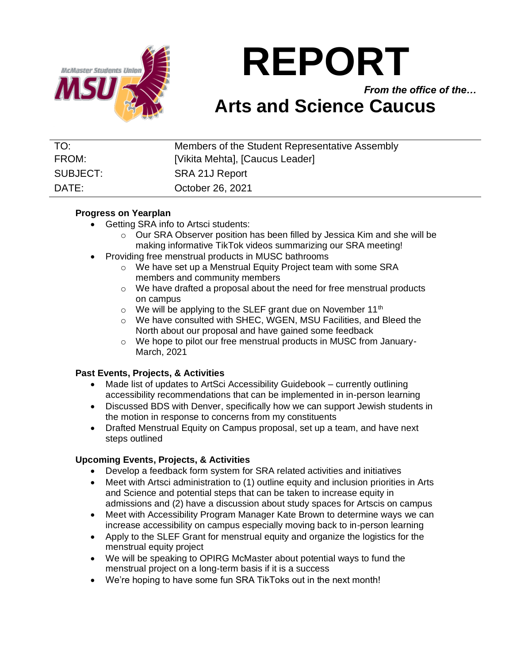

# **REPORT**

*From the office of the…*

# **Arts and Science Caucus**

| TO:      | Members of the Student Representative Assembly |
|----------|------------------------------------------------|
| FROM:    | [Vikita Mehta], [Caucus Leader]                |
| SUBJECT: | SRA 21J Report                                 |
| DATE:    | October 26, 2021                               |

### **Progress on Yearplan**

- Getting SRA info to Artsci students:
	- o Our SRA Observer position has been filled by Jessica Kim and she will be making informative TikTok videos summarizing our SRA meeting!
- Providing free menstrual products in MUSC bathrooms
	- o We have set up a Menstrual Equity Project team with some SRA members and community members
	- o We have drafted a proposal about the need for free menstrual products on campus
	- $\circ$  We will be applying to the SLEF grant due on November 11<sup>th</sup>
	- o We have consulted with SHEC, WGEN, MSU Facilities, and Bleed the North about our proposal and have gained some feedback
	- o We hope to pilot our free menstrual products in MUSC from January-March, 2021

# **Past Events, Projects, & Activities**

- Made list of updates to ArtSci Accessibility Guidebook currently outlining accessibility recommendations that can be implemented in in-person learning
- Discussed BDS with Denver, specifically how we can support Jewish students in the motion in response to concerns from my constituents
- Drafted Menstrual Equity on Campus proposal, set up a team, and have next steps outlined

# **Upcoming Events, Projects, & Activities**

- Develop a feedback form system for SRA related activities and initiatives
- Meet with Artsci administration to (1) outline equity and inclusion priorities in Arts and Science and potential steps that can be taken to increase equity in admissions and (2) have a discussion about study spaces for Artscis on campus
- Meet with Accessibility Program Manager Kate Brown to determine ways we can increase accessibility on campus especially moving back to in-person learning
- Apply to the SLEF Grant for menstrual equity and organize the logistics for the menstrual equity project
- We will be speaking to OPIRG McMaster about potential ways to fund the menstrual project on a long-term basis if it is a success
- We're hoping to have some fun SRA TikToks out in the next month!